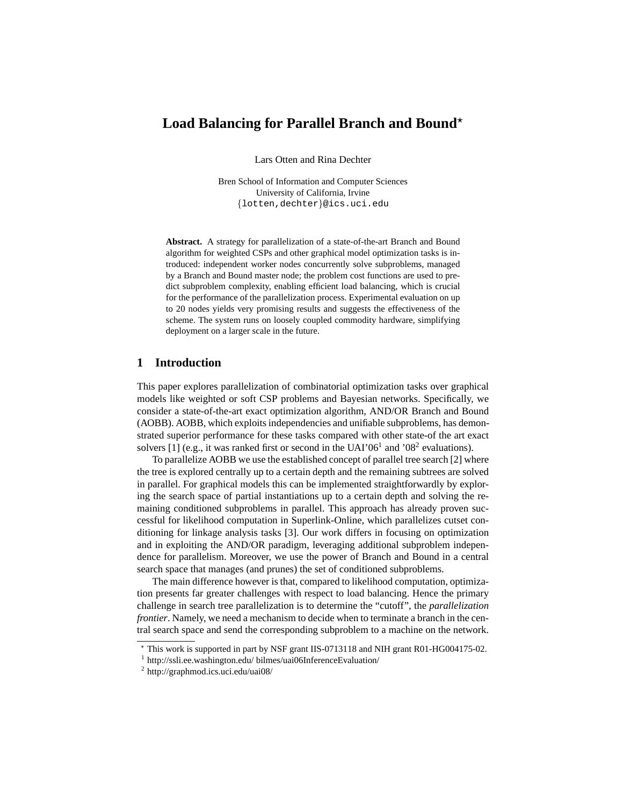# Load Balancing for Parallel Branch and Bound<sup>\*</sup>

Lars Otten and Rina Dechter

Bren School of Information and Computer Sciences University of California, Irvine {lotten,dechter}@ics.uci.edu

**Abstract.** A strategy for parallelization of a state-of-the-art Branch and Bound algorithm for weighted CSPs and other graphical model optimization tasks is introduced: independent worker nodes concurrently solve subproblems, managed by a Branch and Bound master node; the problem cost functions are used to predict subproblem complexity, enabling efficient load balancing, which is crucial for the performance of the parallelization process. Experimental evaluation on up to 20 nodes yields very promising results and suggests the effectiveness of the scheme. The system runs on loosely coupled commodity hardware, simplifying deployment on a larger scale in the future.

## **1 Introduction**

This paper explores parallelization of combinatorial optimization tasks over graphical models like weighted or soft CSP problems and Bayesian networks. Specifically, we consider a state-of-the-art exact optimization algorithm, AND/OR Branch and Bound (AOBB). AOBB, which exploits independencies and unifiable subproblems, has demonstrated superior performance for these tasks compared with other state-of the art exact solvers [1] (e.g., it was ranked first or second in the UAI'06<sup>1</sup> and '08<sup>2</sup> evaluations).

To parallelize AOBB we use the established concept of parallel tree search [2] where the tree is explored centrally up to a certain depth and the remaining subtrees are solved in parallel. For graphical models this can be implemented straightforwardly by exploring the search space of partial instantiations up to a certain depth and solving the remaining conditioned subproblems in parallel. This approach has already proven successful for likelihood computation in Superlink-Online, which parallelizes cutset conditioning for linkage analysis tasks [3]. Our work differs in focusing on optimization and in exploiting the AND/OR paradigm, leveraging additional subproblem independence for parallelism. Moreover, we use the power of Branch and Bound in a central search space that manages (and prunes) the set of conditioned subproblems.

The main difference however is that, compared to likelihood computation, optimization presents far greater challenges with respect to load balancing. Hence the primary challenge in search tree parallelization is to determine the "cutoff", the *parallelization frontier*. Namely, we need a mechanism to decide when to terminate a branch in the central search space and send the corresponding subproblem to a machine on the network.

<sup>⋆</sup> This work is supported in part by NSF grant IIS-0713118 and NIH grant R01-HG004175-02.

<sup>&</sup>lt;sup>1</sup> http://ssli.ee.washington.edu/ bilmes/uai06InferenceEvaluation/

<sup>2</sup> http://graphmod.ics.uci.edu/uai08/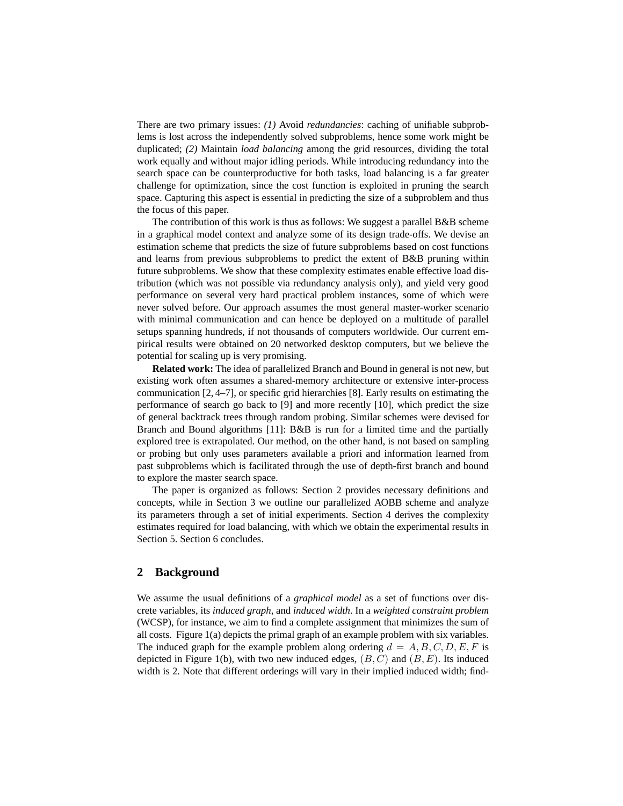There are two primary issues: *(1)* Avoid *redundancies*: caching of unifiable subproblems is lost across the independently solved subproblems, hence some work might be duplicated; *(2)* Maintain *load balancing* among the grid resources, dividing the total work equally and without major idling periods. While introducing redundancy into the search space can be counterproductive for both tasks, load balancing is a far greater challenge for optimization, since the cost function is exploited in pruning the search space. Capturing this aspect is essential in predicting the size of a subproblem and thus the focus of this paper.

The contribution of this work is thus as follows: We suggest a parallel  $B&B$  scheme in a graphical model context and analyze some of its design trade-offs. We devise an estimation scheme that predicts the size of future subproblems based on cost functions and learns from previous subproblems to predict the extent of B&B pruning within future subproblems. We show that these complexity estimates enable effective load distribution (which was not possible via redundancy analysis only), and yield very good performance on several very hard practical problem instances, some of which were never solved before. Our approach assumes the most general master-worker scenario with minimal communication and can hence be deployed on a multitude of parallel setups spanning hundreds, if not thousands of computers worldwide. Our current empirical results were obtained on 20 networked desktop computers, but we believe the potential for scaling up is very promising.

**Related work:** The idea of parallelized Branch and Bound in general is not new, but existing work often assumes a shared-memory architecture or extensive inter-process communication [2, 4–7], or specific grid hierarchies [8]. Early results on estimating the performance of search go back to [9] and more recently [10], which predict the size of general backtrack trees through random probing. Similar schemes were devised for Branch and Bound algorithms [11]: B&B is run for a limited time and the partially explored tree is extrapolated. Our method, on the other hand, is not based on sampling or probing but only uses parameters available a priori and information learned from past subproblems which is facilitated through the use of depth-first branch and bound to explore the master search space.

The paper is organized as follows: Section 2 provides necessary definitions and concepts, while in Section 3 we outline our parallelized AOBB scheme and analyze its parameters through a set of initial experiments. Section 4 derives the complexity estimates required for load balancing, with which we obtain the experimental results in Section 5. Section 6 concludes.

## **2 Background**

We assume the usual definitions of a *graphical model* as a set of functions over discrete variables, its *induced graph*, and *induced width*. In a *weighted constraint problem* (WCSP), for instance, we aim to find a complete assignment that minimizes the sum of all costs. Figure 1(a) depicts the primal graph of an example problem with six variables. The induced graph for the example problem along ordering  $d = A, B, C, D, E, F$  is depicted in Figure 1(b), with two new induced edges,  $(B, C)$  and  $(B, E)$ . Its induced width is 2. Note that different orderings will vary in their implied induced width; find-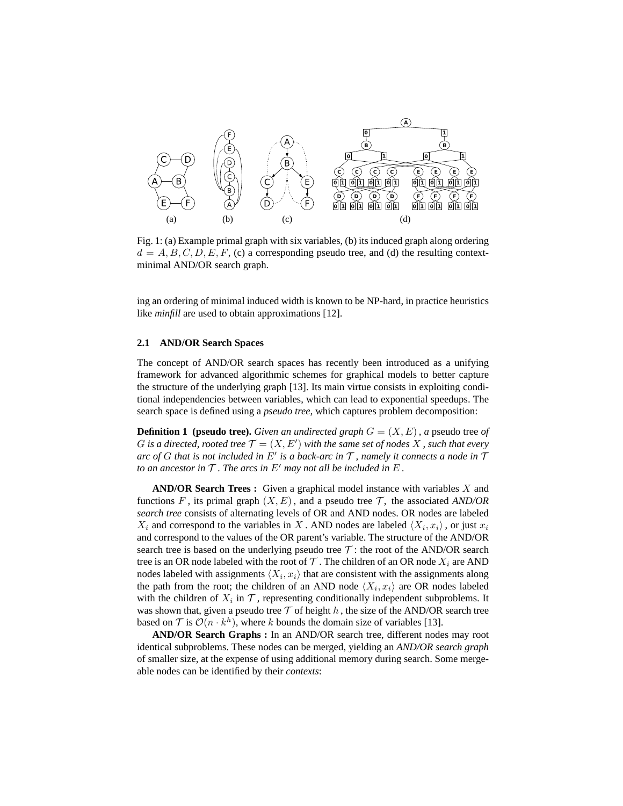

Fig. 1: (a) Example primal graph with six variables, (b) its induced graph along ordering  $d = A, B, C, D, E, F, (c)$  a corresponding pseudo tree, and (d) the resulting contextminimal AND/OR search graph.

ing an ordering of minimal induced width is known to be NP-hard, in practice heuristics like *minfill* are used to obtain approximations [12].

#### **2.1 AND/OR Search Spaces**

The concept of AND/OR search spaces has recently been introduced as a unifying framework for advanced algorithmic schemes for graphical models to better capture the structure of the underlying graph [13]. Its main virtue consists in exploiting conditional independencies between variables, which can lead to exponential speedups. The search space is defined using a *pseudo tree*, which captures problem decomposition:

**Definition 1** (pseudo tree). *Given an undirected graph*  $G = (X, E)$ *, a* pseudo tree *of* G is a directed, rooted tree  $\mathcal{T} = (X, E')$  with the same set of nodes X, such that every *arc of* G *that is not included in* E′ *is a back-arc in* T *, namely it connects a node in* T *to an ancestor in*  $\mathcal T$ *. The arcs in*  $E'$  *may not all be included in*  $E$ *.* 

**AND/OR Search Trees :** Given a graphical model instance with variables X and functions F, its primal graph  $(X, E)$ , and a pseudo tree T, the associated *AND/OR search tree* consists of alternating levels of OR and AND nodes. OR nodes are labeled  $X_i$  and correspond to the variables in X. AND nodes are labeled  $\langle X_i, x_i \rangle$ , or just  $x_i$ and correspond to the values of the OR parent's variable. The structure of the AND/OR search tree is based on the underlying pseudo tree  $\mathcal T$ : the root of the AND/OR search tree is an OR node labeled with the root of  $\mathcal T$ . The children of an OR node  $X_i$  are AND nodes labeled with assignments  $\langle X_i, x_i \rangle$  that are consistent with the assignments along the path from the root; the children of an AND node  $\langle X_i, x_i \rangle$  are OR nodes labeled with the children of  $X_i$  in  $\mathcal T$ , representing conditionally independent subproblems. It was shown that, given a pseudo tree  $T$  of height h, the size of the AND/OR search tree based on  $\mathcal T$  is  $\mathcal O(n \cdot k^h)$ , where k bounds the domain size of variables [13].

**AND/OR Search Graphs :** In an AND/OR search tree, different nodes may root identical subproblems. These nodes can be merged, yielding an *AND/OR search graph* of smaller size, at the expense of using additional memory during search. Some mergeable nodes can be identified by their *contexts*: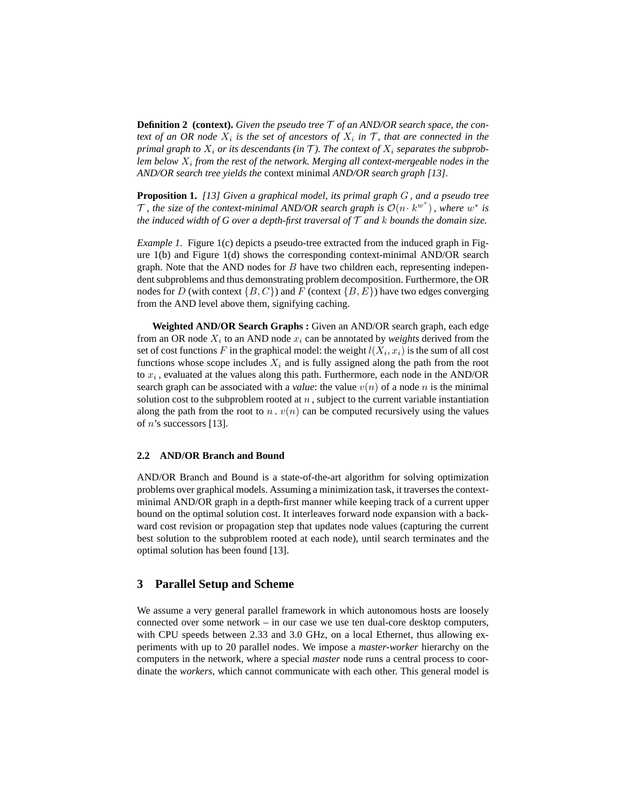**Definition 2 (context).** *Given the pseudo tree* T *of an AND/OR search space, the context of an OR node*  $X_i$  *is the set of ancestors of*  $X_i$  *in*  $\mathcal{T}$ *, that are connected in the primal graph to*  $X_i$  *or its descendants (in*  $\mathcal T$ ). The context of  $X_i$  separates the subprob*lem below* X<sup>i</sup> *from the rest of the network. Merging all context-mergeable nodes in the AND/OR search tree yields the* context minimal *AND/OR search graph [13].*

**Proposition 1.** *[13] Given a graphical model, its primal graph* G *, and a pseudo tree T*, the size of the context-minimal AND/OR search graph is  $\mathcal{O}(n \cdot k^{w^*})$ , where  $w^*$  is *the induced width of G over a depth-first traversal of* T *and* k *bounds the domain size.*

*Example 1.* Figure 1(c) depicts a pseudo-tree extracted from the induced graph in Figure 1(b) and Figure 1(d) shows the corresponding context-minimal AND/OR search graph. Note that the AND nodes for  $B$  have two children each, representing independent subproblems and thus demonstrating problem decomposition. Furthermore, the OR nodes for D (with context  $\{B, C\}$ ) and F (context  $\{B, E\}$ ) have two edges converging from the AND level above them, signifying caching.

**Weighted AND/OR Search Graphs :** Given an AND/OR search graph, each edge from an OR node  $X_i$  to an AND node  $x_i$  can be annotated by *weights* derived from the set of cost functions F in the graphical model: the weight  $l(X_i, x_i)$  is the sum of all cost functions whose scope includes  $X_i$  and is fully assigned along the path from the root to  $x_i$ , evaluated at the values along this path. Furthermore, each node in the AND/OR search graph can be associated with a *value*: the value  $v(n)$  of a node n is the minimal solution cost to the subproblem rooted at  $n$ , subject to the current variable instantiation along the path from the root to n.  $v(n)$  can be computed recursively using the values of  $n$ 's successors [13].

## **2.2 AND/OR Branch and Bound**

AND/OR Branch and Bound is a state-of-the-art algorithm for solving optimization problems over graphical models. Assuming a minimization task, it traverses the contextminimal AND/OR graph in a depth-first manner while keeping track of a current upper bound on the optimal solution cost. It interleaves forward node expansion with a backward cost revision or propagation step that updates node values (capturing the current best solution to the subproblem rooted at each node), until search terminates and the optimal solution has been found [13].

## **3 Parallel Setup and Scheme**

We assume a very general parallel framework in which autonomous hosts are loosely connected over some network – in our case we use ten dual-core desktop computers, with CPU speeds between 2.33 and 3.0 GHz, on a local Ethernet, thus allowing experiments with up to 20 parallel nodes. We impose a *master-worker* hierarchy on the computers in the network, where a special *master* node runs a central process to coordinate the *workers*, which cannot communicate with each other. This general model is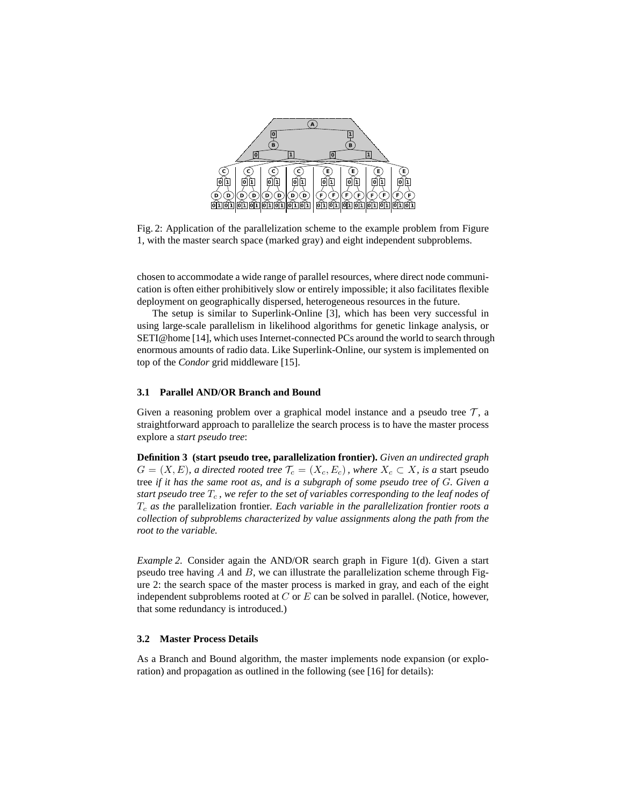

Fig. 2: Application of the parallelization scheme to the example problem from Figure 1, with the master search space (marked gray) and eight independent subproblems.

chosen to accommodate a wide range of parallel resources, where direct node communication is often either prohibitively slow or entirely impossible; it also facilitates flexible deployment on geographically dispersed, heterogeneous resources in the future.

The setup is similar to Superlink-Online [3], which has been very successful in using large-scale parallelism in likelihood algorithms for genetic linkage analysis, or SETI@home [14], which uses Internet-connected PCs around the world to search through enormous amounts of radio data. Like Superlink-Online, our system is implemented on top of the *Condor* grid middleware [15].

## **3.1 Parallel AND/OR Branch and Bound**

Given a reasoning problem over a graphical model instance and a pseudo tree  $\mathcal{T}$ , a straightforward approach to parallelize the search process is to have the master process explore a *start pseudo tree*:

**Definition 3 (start pseudo tree, parallelization frontier).** *Given an undirected graph*  $G = (X, E)$ *, a directed rooted tree*  $\mathcal{T}_c = (X_c, E_c)$ *, where*  $X_c \subset X$ *, is a start pseudo* tree *if it has the same root as, and is a subgraph of some pseudo tree of* G*. Given a start pseudo tree*  $T_c$ *, we refer to the set of variables corresponding to the leaf nodes of* T<sup>c</sup> *as the* parallelization frontier*. Each variable in the parallelization frontier roots a collection of subproblems characterized by value assignments along the path from the root to the variable.*

*Example 2.* Consider again the AND/OR search graph in Figure 1(d). Given a start pseudo tree having  $A$  and  $B$ , we can illustrate the parallelization scheme through Figure 2: the search space of the master process is marked in gray, and each of the eight independent subproblems rooted at  $C$  or  $E$  can be solved in parallel. (Notice, however, that some redundancy is introduced.)

#### **3.2 Master Process Details**

As a Branch and Bound algorithm, the master implements node expansion (or exploration) and propagation as outlined in the following (see [16] for details):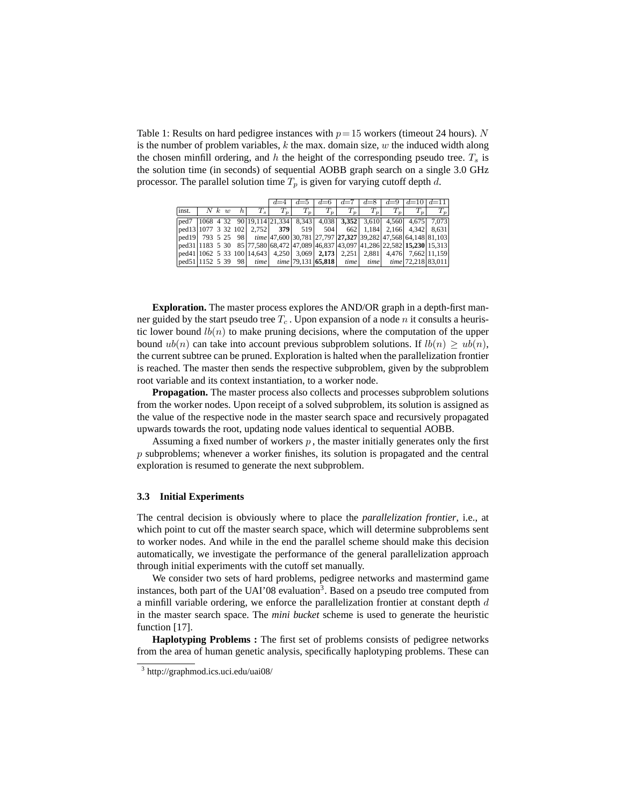Table 1: Results on hard pedigree instances with  $p = 15$  workers (timeout 24 hours). N is the number of problem variables,  $k$  the max. domain size,  $w$  the induced width along the chosen minfill ordering, and h the height of the corresponding pseudo tree.  $T_s$  is the solution time (in seconds) of sequential AOBB graph search on a single 3.0 GHz processor. The parallel solution time  $T_p$  is given for varying cutoff depth d.

|                      |       |  |         |       | $d=4$                                                                                                         |       | $d=6$                                                                                                                                                                       | $d=7$ | $d=8$ |       | $d=9$ $d=10$ $d=11$             |       |
|----------------------|-------|--|---------|-------|---------------------------------------------------------------------------------------------------------------|-------|-----------------------------------------------------------------------------------------------------------------------------------------------------------------------------|-------|-------|-------|---------------------------------|-------|
|                      |       |  |         |       |                                                                                                               |       |                                                                                                                                                                             |       |       |       |                                 |       |
| inst.                | N k w |  | $\hbar$ | $T_s$ | $T_p$                                                                                                         | $T_p$ | $T_p$                                                                                                                                                                       | $T_p$ | $T_p$ | $T_p$ | $T_{\bm v}$                     | $T_p$ |
| $\sqrt{\text{ped7}}$ |       |  |         |       |                                                                                                               |       | $\left 1068, 4, 32, 90\right  \left 19, 114\right  \left 21, 334\right , 8, 343, 4, 038, 3, 352, 3, 610, 4, 560, 4, 675, 7, 073,$                                           |       |       |       |                                 |       |
|                      |       |  |         |       | $\lceil \text{ped13} \rceil \cdot 1077 \cdot 3 \cdot 32 \cdot 102 \rceil \cdot 2.752 \rceil \cdot 379 \rceil$ |       | 519 504 662 1.184 2.166 4.342 8.631                                                                                                                                         |       |       |       |                                 |       |
|                      |       |  |         |       |                                                                                                               |       | $\lceil \text{ped19} \rceil$ 793 5 25 98 $\lceil \text{time} \rceil$ 47,600 30,781 27,797 27,327 39,282 47,568 64,148 81,103                                                |       |       |       |                                 |       |
|                      |       |  |         |       |                                                                                                               |       | $\vert \text{ped31} \vert 1183 \, 5 \, 30 \, 85 \vert 77,580 \vert 68,472 \vert 47,089 \vert 46,837 \vert 43,097 \vert 41,286 \vert 22,582 \vert 15,230 \vert 15,313 \vert$ |       |       |       |                                 |       |
|                      |       |  |         |       |                                                                                                               |       | $\lceil \text{ped41} \rceil \cdot 1062 \cdot 5 \cdot 33 \cdot 100 \rceil \cdot 14.643 \rceil$ 4.250 3.069 2.173 2.251 2.881 4.476 7.662 11.159                              |       |       |       |                                 |       |
|                      |       |  |         |       |                                                                                                               |       | $ {\rm ped51} 1152 \t539 \t98 $ time $ {\rm time} 79,131 65,818 $                                                                                                           | time  |       |       | $time$ $time$   72,218   83,011 |       |

**Exploration.** The master process explores the AND/OR graph in a depth-first manner guided by the start pseudo tree  $T_c$ . Upon expansion of a node n it consults a heuristic lower bound  $lb(n)$  to make pruning decisions, where the computation of the upper bound  $ub(n)$  can take into account previous subproblem solutions. If  $lb(n) \geq ub(n)$ , the current subtree can be pruned. Exploration is halted when the parallelization frontier is reached. The master then sends the respective subproblem, given by the subproblem root variable and its context instantiation, to a worker node.

**Propagation.** The master process also collects and processes subproblem solutions from the worker nodes. Upon receipt of a solved subproblem, its solution is assigned as the value of the respective node in the master search space and recursively propagated upwards towards the root, updating node values identical to sequential AOBB.

Assuming a fixed number of workers  $p$ , the master initially generates only the first p subproblems; whenever a worker finishes, its solution is propagated and the central exploration is resumed to generate the next subproblem.

## **3.3 Initial Experiments**

The central decision is obviously where to place the *parallelization frontier*, i.e., at which point to cut off the master search space, which will determine subproblems sent to worker nodes. And while in the end the parallel scheme should make this decision automatically, we investigate the performance of the general parallelization approach through initial experiments with the cutoff set manually.

We consider two sets of hard problems, pedigree networks and mastermind game instances, both part of the UAI'08 evaluation<sup>3</sup>. Based on a pseudo tree computed from a minfill variable ordering, we enforce the parallelization frontier at constant depth  $d$ in the master search space. The *mini bucket* scheme is used to generate the heuristic function [17].

**Haplotyping Problems :** The first set of problems consists of pedigree networks from the area of human genetic analysis, specifically haplotyping problems. These can

<sup>3</sup> http://graphmod.ics.uci.edu/uai08/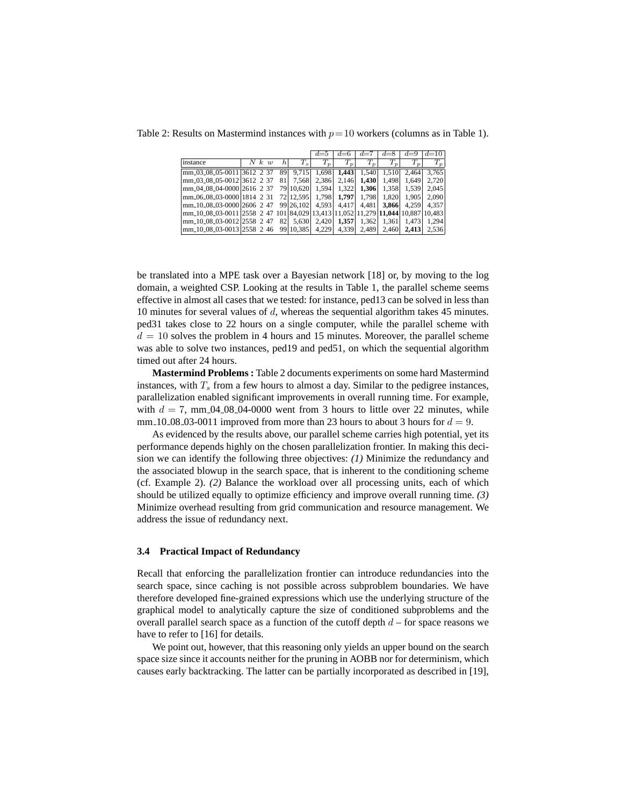|                                                                                          |       |     |           | $d=5$ | $d=6$                  | $d=7$                  | $d=8$ | $d=9$  | $d = 10$ |
|------------------------------------------------------------------------------------------|-------|-----|-----------|-------|------------------------|------------------------|-------|--------|----------|
| instance                                                                                 | N k w | h.  | $T_s$     | $T_p$ | Т.<br>$\boldsymbol{v}$ | Τ.<br>$\boldsymbol{v}$ | T.    | T      | $T_p$    |
| mm_03_08_05-0011 3612 2 37                                                               |       | 89  | 9.715     | 1.698 | 1.443                  | 1.540                  | 1.510 | 2.464  | 3.765    |
| mm_03_08_05-0012 3612 2 37                                                               |       | 811 | 7.568     | 2.386 | 2.146                  | 1.430                  | 1.498 | 1.649  | 2.720    |
| mm_04_08_04-0000 2616 2 37                                                               |       |     | 79 10.620 | 1.594 | 1.322                  | 1.306                  | 1.358 | 1.539  | 2.045    |
| $\frac{1}{2}$ mm 06 08 03 0000 1814 2 31                                                 |       |     | 72 12.595 | 1.798 | 1.797                  | 1.798                  | 1.820 | 1.905  | 2.090    |
| mm <sub>-10-08-03</sub> -0000 2606 2 47                                                  |       |     | 99 26.102 | 4.593 | 4.417                  | 4.481                  | 3.866 | 4.259  | 4.357    |
| mm_10_08_03-0011 2558_2_47_101 84,029 13,413 11,052 11,279  <b>11,044</b>  10,887 10,483 |       |     |           |       |                        |                        |       |        |          |
| mm_10_08_03-001212558 2 47                                                               |       | 82  | 5.630     | 2.420 | 1.357                  | 1,362                  | 1.361 | 1.4731 | 1.294    |
| mm <sub>-10-08-03</sub> -001312558 2 46                                                  |       |     | 99 10,385 | 4.229 | 4,339                  | 2,489                  | 2.460 | 2.413  | 2.536    |

Table 2: Results on Mastermind instances with  $p = 10$  workers (columns as in Table 1).

be translated into a MPE task over a Bayesian network [18] or, by moving to the log domain, a weighted CSP. Looking at the results in Table 1, the parallel scheme seems effective in almost all cases that we tested: for instance, ped13 can be solved in less than 10 minutes for several values of d, whereas the sequential algorithm takes 45 minutes. ped31 takes close to 22 hours on a single computer, while the parallel scheme with  $d = 10$  solves the problem in 4 hours and 15 minutes. Moreover, the parallel scheme was able to solve two instances, ped19 and ped51, on which the sequential algorithm timed out after 24 hours.

**Mastermind Problems :** Table 2 documents experiments on some hard Mastermind instances, with  $T<sub>s</sub>$  from a few hours to almost a day. Similar to the pedigree instances, parallelization enabled significant improvements in overall running time. For example, with  $d = 7$ , mm 04 08 04 0000 went from 3 hours to little over 22 minutes, while mm 10 08 03 0011 improved from more than 23 hours to about 3 hours for  $d = 9$ .

As evidenced by the results above, our parallel scheme carries high potential, yet its performance depends highly on the chosen parallelization frontier. In making this decision we can identify the following three objectives: *(1)* Minimize the redundancy and the associated blowup in the search space, that is inherent to the conditioning scheme (cf. Example 2). *(2)* Balance the workload over all processing units, each of which should be utilized equally to optimize efficiency and improve overall running time. *(3)* Minimize overhead resulting from grid communication and resource management. We address the issue of redundancy next.

## **3.4 Practical Impact of Redundancy**

Recall that enforcing the parallelization frontier can introduce redundancies into the search space, since caching is not possible across subproblem boundaries. We have therefore developed fine-grained expressions which use the underlying structure of the graphical model to analytically capture the size of conditioned subproblems and the overall parallel search space as a function of the cutoff depth  $d$  – for space reasons we have to refer to [16] for details.

We point out, however, that this reasoning only yields an upper bound on the search space size since it accounts neither for the pruning in AOBB nor for determinism, which causes early backtracking. The latter can be partially incorporated as described in [19],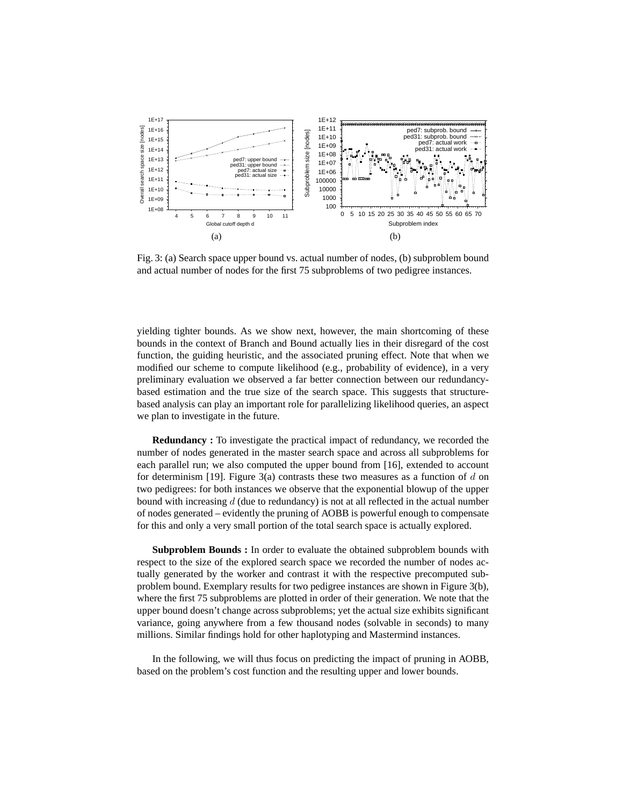

Fig. 3: (a) Search space upper bound vs. actual number of nodes, (b) subproblem bound and actual number of nodes for the first 75 subproblems of two pedigree instances.

yielding tighter bounds. As we show next, however, the main shortcoming of these bounds in the context of Branch and Bound actually lies in their disregard of the cost function, the guiding heuristic, and the associated pruning effect. Note that when we modified our scheme to compute likelihood (e.g., probability of evidence), in a very preliminary evaluation we observed a far better connection between our redundancybased estimation and the true size of the search space. This suggests that structurebased analysis can play an important role for parallelizing likelihood queries, an aspect we plan to investigate in the future.

**Redundancy :** To investigate the practical impact of redundancy, we recorded the number of nodes generated in the master search space and across all subproblems for each parallel run; we also computed the upper bound from [16], extended to account for determinism [19]. Figure 3(a) contrasts these two measures as a function of d on two pedigrees: for both instances we observe that the exponential blowup of the upper bound with increasing  $d$  (due to redundancy) is not at all reflected in the actual number of nodes generated – evidently the pruning of AOBB is powerful enough to compensate for this and only a very small portion of the total search space is actually explored.

**Subproblem Bounds :** In order to evaluate the obtained subproblem bounds with respect to the size of the explored search space we recorded the number of nodes actually generated by the worker and contrast it with the respective precomputed subproblem bound. Exemplary results for two pedigree instances are shown in Figure 3(b), where the first 75 subproblems are plotted in order of their generation. We note that the upper bound doesn't change across subproblems; yet the actual size exhibits significant variance, going anywhere from a few thousand nodes (solvable in seconds) to many millions. Similar findings hold for other haplotyping and Mastermind instances.

In the following, we will thus focus on predicting the impact of pruning in AOBB, based on the problem's cost function and the resulting upper and lower bounds.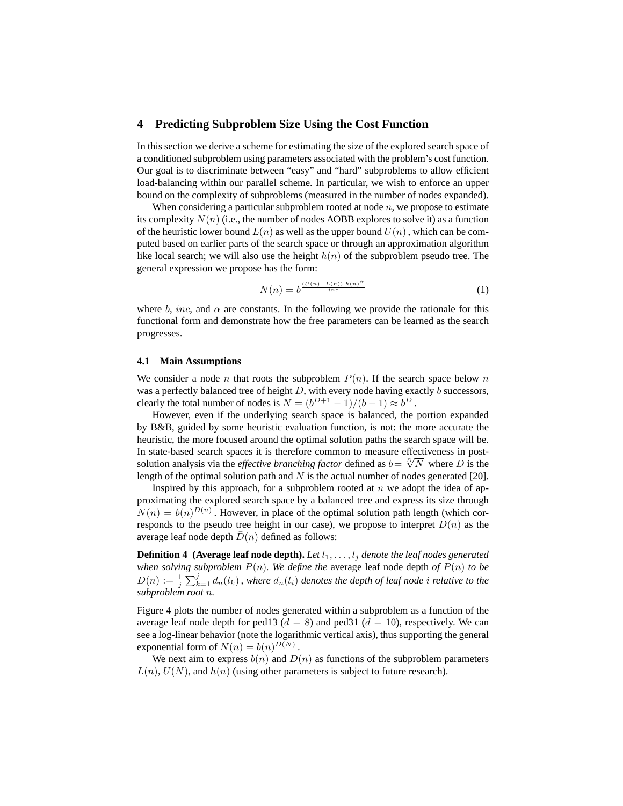## **4 Predicting Subproblem Size Using the Cost Function**

In this section we derive a scheme for estimating the size of the explored search space of a conditioned subproblem using parameters associated with the problem's cost function. Our goal is to discriminate between "easy" and "hard" subproblems to allow efficient load-balancing within our parallel scheme. In particular, we wish to enforce an upper bound on the complexity of subproblems (measured in the number of nodes expanded).

When considering a particular subproblem rooted at node  $n$ , we propose to estimate its complexity  $N(n)$  (i.e., the number of nodes AOBB explores to solve it) as a function of the heuristic lower bound  $L(n)$  as well as the upper bound  $U(n)$ , which can be computed based on earlier parts of the search space or through an approximation algorithm like local search; we will also use the height  $h(n)$  of the subproblem pseudo tree. The general expression we propose has the form:

$$
N(n) = b^{\frac{(U(n) - L(n)) \cdot h(n)^{\alpha}}{i n c}} \tag{1}
$$

where b, inc, and  $\alpha$  are constants. In the following we provide the rationale for this functional form and demonstrate how the free parameters can be learned as the search progresses.

## **4.1 Main Assumptions**

We consider a node n that roots the subproblem  $P(n)$ . If the search space below n was a perfectly balanced tree of height  $D$ , with every node having exactly  $b$  successors, clearly the total number of nodes is  $N = (b^{D+1} - 1)/(b - 1) \approx b^D$ .

However, even if the underlying search space is balanced, the portion expanded by B&B, guided by some heuristic evaluation function, is not: the more accurate the heuristic, the more focused around the optimal solution paths the search space will be. In state-based search spaces it is therefore common to measure effectiveness in postsolution analysis via the *effective branching factor* defined as  $b = \sqrt[1]{N}$  where D is the length of the optimal solution path and  $N$  is the actual number of nodes generated [20].

Inspired by this approach, for a subproblem rooted at  $n$  we adopt the idea of approximating the explored search space by a balanced tree and express its size through  $N(n) = b(n)^{D(n)}$ . However, in place of the optimal solution path length (which corresponds to the pseudo tree height in our case), we propose to interpret  $D(n)$  as the average leaf node depth  $D(n)$  defined as follows:

**Definition 4** (Average leaf node depth). Let  $l_1, \ldots, l_j$  denote the leaf nodes generated *when solving subproblem*  $P(n)$ *. We define the average leaf node depth of*  $P(n)$  *to be*  $D(n) := \frac{1}{j} \sum_{k=1}^{j} d_n(l_k)$  , where  $d_n(l_i)$  denotes the depth of leaf node i relative to the *subproblem root* n*.*

Figure 4 plots the number of nodes generated within a subproblem as a function of the average leaf node depth for ped13 ( $d = 8$ ) and ped31 ( $d = 10$ ), respectively. We can see a log-linear behavior (note the logarithmic vertical axis), thus supporting the general exponential form of  $N(n) = b(n)^{D(N)}$ .

We next aim to express  $b(n)$  and  $D(n)$  as functions of the subproblem parameters  $L(n)$ ,  $U(N)$ , and  $h(n)$  (using other parameters is subject to future research).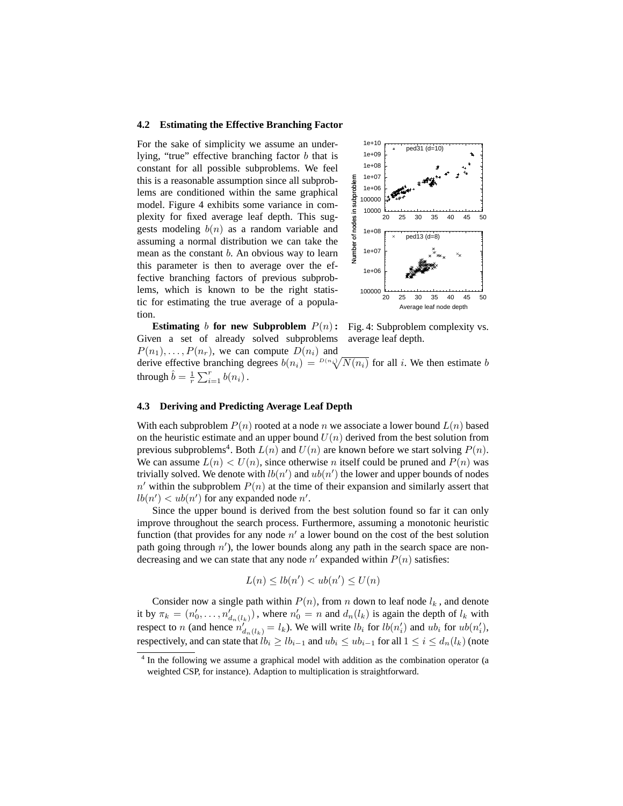#### **4.2 Estimating the Effective Branching Factor**

For the sake of simplicity we assume an underlying, "true" effective branching factor b that is constant for all possible subproblems. We feel this is a reasonable assumption since all subproblems are conditioned within the same graphical model. Figure 4 exhibits some variance in complexity for fixed average leaf depth. This suggests modeling  $b(n)$  as a random variable and assuming a normal distribution we can take the mean as the constant b. An obvious way to learn this parameter is then to average over the effective branching factors of previous subproblems, which is known to be the right statistic for estimating the true average of a population.



**Estimating** b **for new Subproblem**  $P(n)$ : Given a set of already solved subproblems  $P(n_1), \ldots, P(n_r)$ , we can compute  $D(n_i)$  and

Fig. 4: Subproblem complexity vs. average leaf depth.

derive effective branching degrees  $b(n_i) = {}^{D(n_i)}\sqrt{N(n_i)}$  for all i. We then estimate b through  $\hat{b} = \frac{1}{r} \sum_{i=1}^{r} b(n_i)$ .

## **4.3 Deriving and Predicting Average Leaf Depth**

With each subproblem  $P(n)$  rooted at a node n we associate a lower bound  $L(n)$  based on the heuristic estimate and an upper bound  $U(n)$  derived from the best solution from previous subproblems<sup>4</sup>. Both  $L(n)$  and  $U(n)$  are known before we start solving  $P(n)$ . We can assume  $L(n) < U(n)$ , since otherwise n itself could be pruned and  $P(n)$  was trivially solved. We denote with  $lb(n')$  and  $ub(n')$  the lower and upper bounds of nodes  $n'$  within the subproblem  $P(n)$  at the time of their expansion and similarly assert that  $lb(n') < ub(n')$  for any expanded node n'.

Since the upper bound is derived from the best solution found so far it can only improve throughout the search process. Furthermore, assuming a monotonic heuristic function (that provides for any node  $n'$  a lower bound on the cost of the best solution path going through  $n'$ ), the lower bounds along any path in the search space are nondecreasing and we can state that any node  $n'$  expanded within  $P(n)$  satisfies:

$$
L(n) \le lb(n') < ub(n') \le U(n)
$$

Consider now a single path within  $P(n)$ , from n down to leaf node  $l_k$ , and denote it by  $\pi_k = (n'_0, \dots, n'_{d_n(l_k)})$ , where  $n'_0 = n$  and  $d_n(l_k)$  is again the depth of  $l_k$  with respect to n (and hence  $n'_{d_n(l_k)} = l_k$ ). We will write  $lb_i$  for  $lb(n'_i)$  and  $ub_i$  for  $ub(n'_i)$ , respectively, and can state that  $lb_i \geq lb_{i-1}$  and  $ub_i \leq ub_{i-1}$  for all  $1 \leq i \leq d_n(l_k)$  (note

<sup>&</sup>lt;sup>4</sup> In the following we assume a graphical model with addition as the combination operator (a weighted CSP, for instance). Adaption to multiplication is straightforward.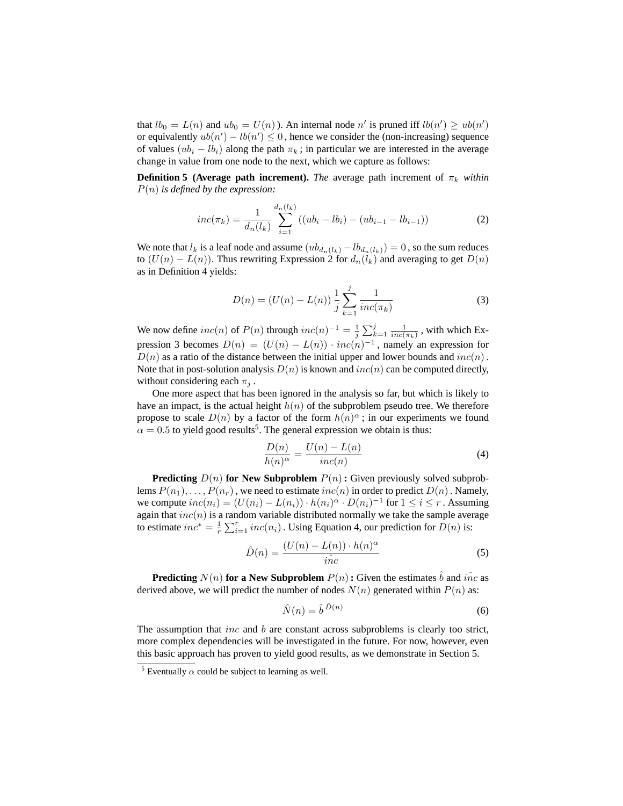that  $lb_0 = L(n)$  and  $ub_0 = U(n)$ ). An internal node n' is pruned iff  $lb(n') \geq ub(n')$ or equivalently  $ub(n') - lb(n') \leq 0$ , hence we consider the (non-increasing) sequence of values  $(ub_i - lb_i)$  along the path  $\pi_k$ ; in particular we are interested in the average change in value from one node to the next, which we capture as follows:

**Definition 5 (Average path increment).** *The* average path increment of  $\pi_k$  *within* P(n) *is defined by the expression:*

$$
inc(\pi_k) = \frac{1}{d_n(l_k)} \sum_{i=1}^{d_n(l_k)} ((ub_i - lb_i) - (ub_{i-1} - lb_{i-1}))
$$
 (2)

We note that  $l_k$  is a leaf node and assume  $(ub_{d_n(l_k)} - lb_{d_n(l_k)}) = 0$ , so the sum reduces to  $(U(n) - L(n))$ . Thus rewriting Expression 2 for  $d_n(l_k)$  and averaging to get  $D(n)$ as in Definition 4 yields:

$$
D(n) = (U(n) - L(n)) \frac{1}{j} \sum_{k=1}^{j} \frac{1}{inc(\pi_k)}
$$
 (3)

We now define  $inc(n)$  of  $P(n)$  through  $inc(n)^{-1} = \frac{1}{j} \sum_{k=1}^{j} \frac{1}{inc(\pi_k)}$ , with which Expression 3 becomes  $D(n) = (U(n) - L(n)) \cdot inc(n)^{-1}$ , namely an expression for  $D(n)$  as a ratio of the distance between the initial upper and lower bounds and  $inc(n)$ . Note that in post-solution analysis  $D(n)$  is known and  $inc(n)$  can be computed directly, without considering each  $\pi_i$ .

One more aspect that has been ignored in the analysis so far, but which is likely to have an impact, is the actual height  $h(n)$  of the subproblem pseudo tree. We therefore propose to scale  $D(n)$  by a factor of the form  $h(n)^\alpha$ ; in our experiments we found  $\alpha = 0.5$  to yield good results<sup>5</sup>. The general expression we obtain is thus:

$$
\frac{D(n)}{h(n)^{\alpha}} = \frac{U(n) - L(n)}{inc(n)}
$$
(4)

**Predicting**  $D(n)$  for New Subproblem  $P(n)$ : Given previously solved subproblems  $P(n_1), \ldots, P(n_r)$ , we need to estimate  $inc(n)$  in order to predict  $D(n)$ . Namely, we compute  $inc(n_i) = (U(n_i) - L(n_i)) \cdot h(n_i)^{\alpha} \cdot D(n_i)^{-1}$  for  $1 \le i \le r$ . Assuming again that  $inc(n)$  is a random variable distributed normally we take the sample average to estimate  $inc^* = \frac{1}{r} \sum_{i=1}^r inc(n_i)$ . Using Equation 4, our prediction for  $D(n)$  is:

$$
\hat{D}(n) = \frac{(U(n) - L(n)) \cdot h(n)^{\alpha}}{i \hat{n} c} \tag{5}
$$

**Predicting**  $N(n)$  for a New Subproblem  $P(n)$ : Given the estimates  $\hat{b}$  and  $\hat{inc}$  as derived above, we will predict the number of nodes  $N(n)$  generated within  $P(n)$  as:

$$
\hat{N}(n) = \hat{b}^{\hat{D}(n)}\tag{6}
$$

The assumption that *inc* and  $b$  are constant across subproblems is clearly too strict, more complex dependencies will be investigated in the future. For now, however, even this basic approach has proven to yield good results, as we demonstrate in Section 5.

<sup>&</sup>lt;sup>5</sup> Eventually  $\alpha$  could be subject to learning as well.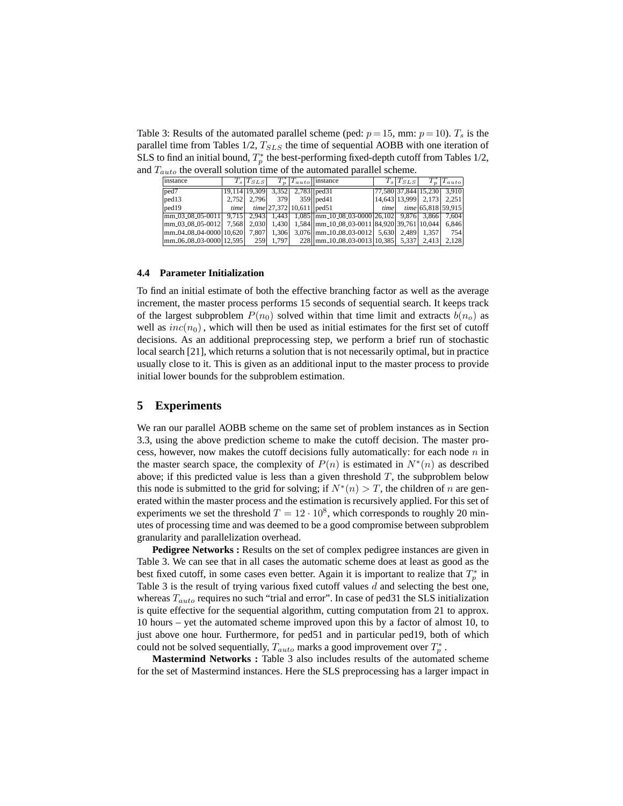Table 3: Results of the automated parallel scheme (ped:  $p = 15$ , mm:  $p = 10$ ).  $T_s$  is the parallel time from Tables  $1/2$ ,  $T_{SLS}$  the time of sequential AOBB with one iteration of SLS to find an initial bound,  $T_p^*$  the best-performing fixed-depth cutoff from Tables 1/2, and  $T_{auto}$  the overall solution time of the automated parallel scheme.

| instance                                                                                                                                 |      | $T_s T_{SLS}$ |       |                                      | $T_n^* T_{auto}  $ instance                                                                                  | $T_s T_{SLS} $            | $ T_{auto} $                                               |
|------------------------------------------------------------------------------------------------------------------------------------------|------|---------------|-------|--------------------------------------|--------------------------------------------------------------------------------------------------------------|---------------------------|------------------------------------------------------------|
| ped7                                                                                                                                     |      |               |       | 19,114 19,309 3,352 2,783 ped 31     |                                                                                                              |                           | $\left  77,580 \right  37,844 \left  15,230 \right  3,910$ |
| $ {\rm ped}13\rangle$                                                                                                                    |      |               |       | 2,752   2,796   379   359   ped 41   |                                                                                                              | 14,643 13,999 2,173 2,251 |                                                            |
| ped19                                                                                                                                    | time |               |       | <i>time</i> $ 27,372 10,611 $ ped 51 |                                                                                                              |                           | $time$ $time$ $ 65,818 59,915 $                            |
| $\lceil \frac{mm.03.08.05-0011}{3.866} \rceil$ 9.715 2.943 1.443 1.085 $\lceil \frac{mm.10.08.03-0000}{26.102} \rceil$ 9.876 3.866 7.604 |      |               |       |                                      |                                                                                                              |                           |                                                            |
|                                                                                                                                          |      |               |       |                                      | $\frac{1}{2}$ mm_03_08_05-0012   7,568   2,030   1,430   1,584   mm_10_08_03-0011   84,920   39,761   10,044 |                           | 6.846                                                      |
| $\frac{mm_{0}4_{0}8_{0}4_{000}}{10,620}$ 7,807                                                                                           |      |               |       |                                      | 1,306 3,076   mm_10_08_03-0012 5,630 2,489 1,357                                                             |                           | 754                                                        |
| $\frac{1}{2}$ mm 06 08 03 0000 12.595                                                                                                    |      | 259           | 1.797 |                                      | 228   mm 10 08 03 0013 10 385   5,337   2,413                                                                |                           | 2,128                                                      |

#### **4.4 Parameter Initialization**

To find an initial estimate of both the effective branching factor as well as the average increment, the master process performs 15 seconds of sequential search. It keeps track of the largest subproblem  $P(n_0)$  solved within that time limit and extracts  $b(n_0)$  as well as  $inc(n_0)$ , which will then be used as initial estimates for the first set of cutoff decisions. As an additional preprocessing step, we perform a brief run of stochastic local search [21], which returns a solution that is not necessarily optimal, but in practice usually close to it. This is given as an additional input to the master process to provide initial lower bounds for the subproblem estimation.

### **5 Experiments**

We ran our parallel AOBB scheme on the same set of problem instances as in Section 3.3, using the above prediction scheme to make the cutoff decision. The master process, however, now makes the cutoff decisions fully automatically: for each node  $n$  in the master search space, the complexity of  $P(n)$  is estimated in  $N^*(n)$  as described above; if this predicted value is less than a given threshold  $T$ , the subproblem below this node is submitted to the grid for solving; if  $N^*(n) > T$ , the children of n are generated within the master process and the estimation is recursively applied. For this set of experiments we set the threshold  $T = 12 \cdot 10^8$ , which corresponds to roughly 20 minutes of processing time and was deemed to be a good compromise between subproblem granularity and parallelization overhead.

**Pedigree Networks :** Results on the set of complex pedigree instances are given in Table 3. We can see that in all cases the automatic scheme does at least as good as the best fixed cutoff, in some cases even better. Again it is important to realize that  $T_p^*$  in Table 3 is the result of trying various fixed cutoff values  $d$  and selecting the best one, whereas  $T_{auto}$  requires no such "trial and error". In case of ped31 the SLS initialization is quite effective for the sequential algorithm, cutting computation from 21 to approx. 10 hours – yet the automated scheme improved upon this by a factor of almost 10, to just above one hour. Furthermore, for ped51 and in particular ped19, both of which could not be solved sequentially,  $T_{auto}$  marks a good improvement over  $T_p^*$ .

**Mastermind Networks :** Table 3 also includes results of the automated scheme for the set of Mastermind instances. Here the SLS preprocessing has a larger impact in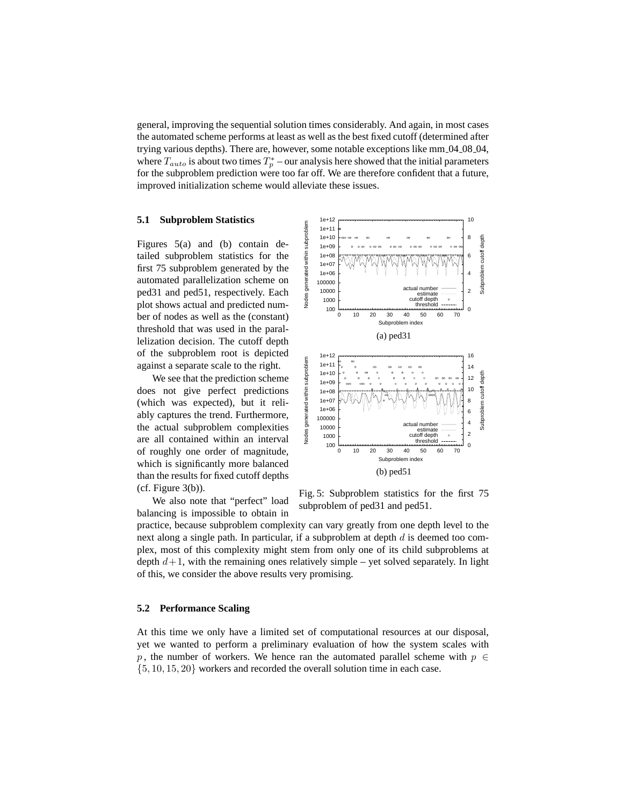general, improving the sequential solution times considerably. And again, in most cases the automated scheme performs at least as well as the best fixed cutoff (determined after trying various depths). There are, however, some notable exceptions like mm 04 08 04, where  $T_{auto}$  is about two times  $T_p^*$  – our analysis here showed that the initial parameters for the subproblem prediction were too far off. We are therefore confident that a future, improved initialization scheme would alleviate these issues.

## **5.1 Subproblem Statistics**

Figures 5(a) and (b) contain detailed subproblem statistics for the first 75 subproblem generated by the automated parallelization scheme on ped31 and ped51, respectively. Each plot shows actual and predicted number of nodes as well as the (constant) threshold that was used in the parallelization decision. The cutoff depth of the subproblem root is depicted against a separate scale to the right.

We see that the prediction scheme does not give perfect predictions (which was expected), but it reliably captures the trend. Furthermore, the actual subproblem complexities are all contained within an interval of roughly one order of magnitude, which is significantly more balanced than the results for fixed cutoff depths  $(cf. Figure 3(b)).$ 

We also note that "perfect" load balancing is impossible to obtain in



Fig. 5: Subproblem statistics for the first 75 subproblem of ped31 and ped51.

practice, because subproblem complexity can vary greatly from one depth level to the next along a single path. In particular, if a subproblem at depth  $d$  is deemed too complex, most of this complexity might stem from only one of its child subproblems at depth  $d+1$ , with the remaining ones relatively simple – yet solved separately. In light of this, we consider the above results very promising.

## **5.2 Performance Scaling**

At this time we only have a limited set of computational resources at our disposal, yet we wanted to perform a preliminary evaluation of how the system scales with p, the number of workers. We hence ran the automated parallel scheme with  $p \in$ {5, 10, 15, 20} workers and recorded the overall solution time in each case.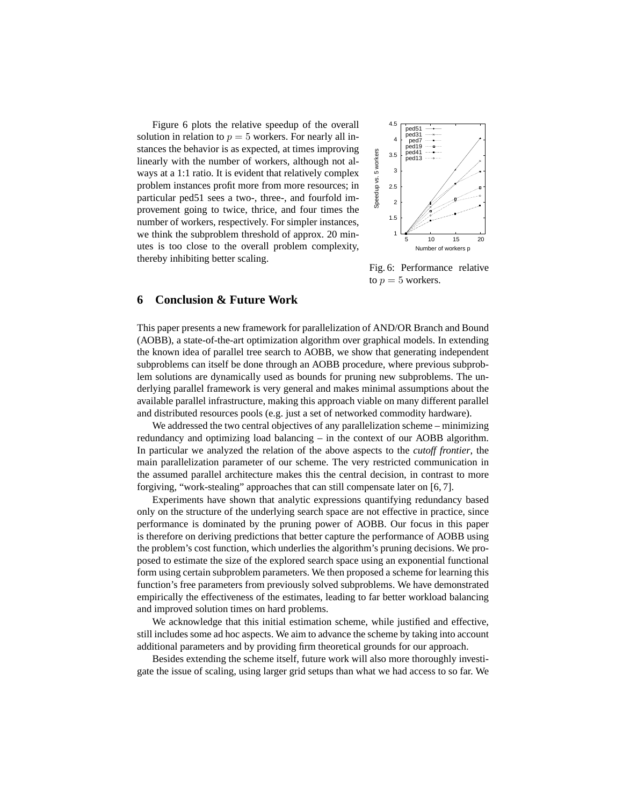Figure 6 plots the relative speedup of the overall solution in relation to  $p = 5$  workers. For nearly all instances the behavior is as expected, at times improving linearly with the number of workers, although not always at a 1:1 ratio. It is evident that relatively complex problem instances profit more from more resources; in particular ped51 sees a two-, three-, and fourfold improvement going to twice, thrice, and four times the number of workers, respectively. For simpler instances, we think the subproblem threshold of approx. 20 minutes is too close to the overall problem complexity, thereby inhibiting better scaling.



Fig. 6: Performance relative to  $p = 5$  workers.

## **6 Conclusion & Future Work**

This paper presents a new framework for parallelization of AND/OR Branch and Bound (AOBB), a state-of-the-art optimization algorithm over graphical models. In extending the known idea of parallel tree search to AOBB, we show that generating independent subproblems can itself be done through an AOBB procedure, where previous subproblem solutions are dynamically used as bounds for pruning new subproblems. The underlying parallel framework is very general and makes minimal assumptions about the available parallel infrastructure, making this approach viable on many different parallel and distributed resources pools (e.g. just a set of networked commodity hardware).

We addressed the two central objectives of any parallelization scheme – minimizing redundancy and optimizing load balancing – in the context of our AOBB algorithm. In particular we analyzed the relation of the above aspects to the *cutoff frontier*, the main parallelization parameter of our scheme. The very restricted communication in the assumed parallel architecture makes this the central decision, in contrast to more forgiving, "work-stealing" approaches that can still compensate later on [6, 7].

Experiments have shown that analytic expressions quantifying redundancy based only on the structure of the underlying search space are not effective in practice, since performance is dominated by the pruning power of AOBB. Our focus in this paper is therefore on deriving predictions that better capture the performance of AOBB using the problem's cost function, which underlies the algorithm's pruning decisions. We proposed to estimate the size of the explored search space using an exponential functional form using certain subproblem parameters. We then proposed a scheme for learning this function's free parameters from previously solved subproblems. We have demonstrated empirically the effectiveness of the estimates, leading to far better workload balancing and improved solution times on hard problems.

We acknowledge that this initial estimation scheme, while justified and effective, still includes some ad hoc aspects. We aim to advance the scheme by taking into account additional parameters and by providing firm theoretical grounds for our approach.

Besides extending the scheme itself, future work will also more thoroughly investigate the issue of scaling, using larger grid setups than what we had access to so far. We